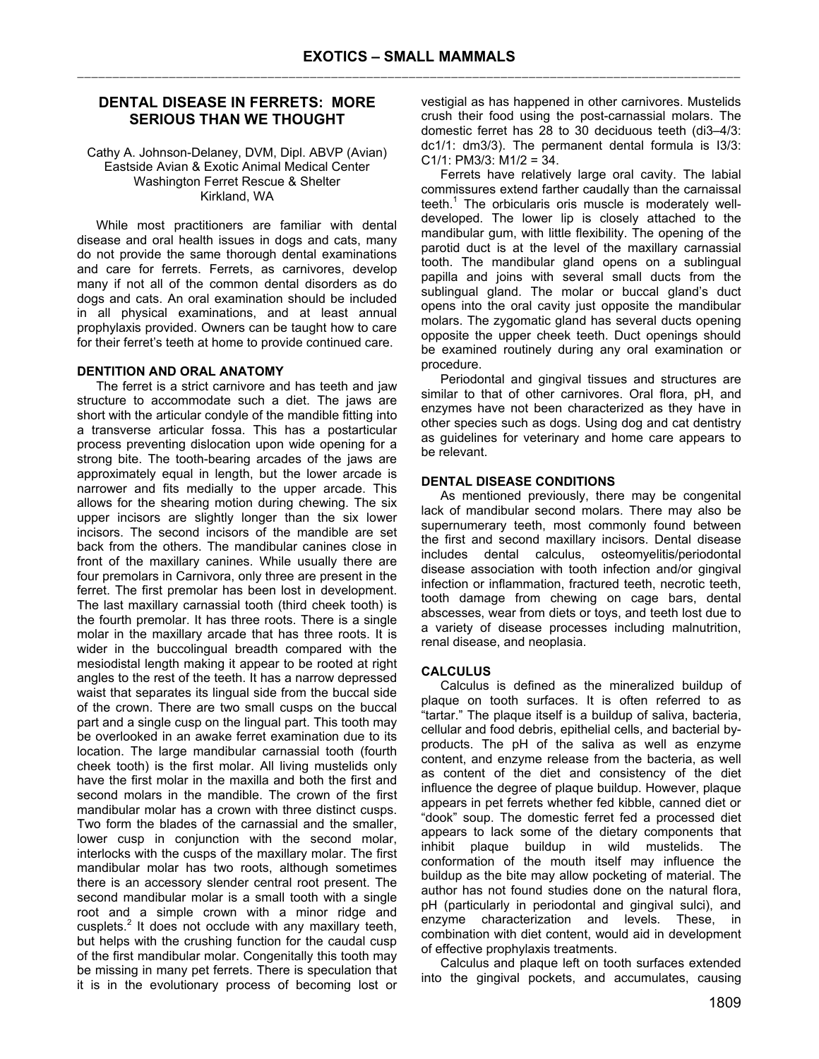# **DENTAL DISEASE IN FERRETS: MORE SERIOUS THAN WE THOUGHT**

#### Cathy A. Johnson-Delaney, DVM, Dipl. ABVP (Avian) Eastside Avian & Exotic Animal Medical Center Washington Ferret Rescue & Shelter Kirkland, WA

While most practitioners are familiar with dental disease and oral health issues in dogs and cats, many do not provide the same thorough dental examinations and care for ferrets. Ferrets, as carnivores, develop many if not all of the common dental disorders as do dogs and cats. An oral examination should be included in all physical examinations, and at least annual prophylaxis provided. Owners can be taught how to care for their ferret's teeth at home to provide continued care.

#### **DENTITION AND ORAL ANATOMY**

The ferret is a strict carnivore and has teeth and jaw structure to accommodate such a diet. The jaws are short with the articular condyle of the mandible fitting into a transverse articular fossa. This has a postarticular process preventing dislocation upon wide opening for a strong bite. The tooth-bearing arcades of the jaws are approximately equal in length, but the lower arcade is narrower and fits medially to the upper arcade. This allows for the shearing motion during chewing. The six upper incisors are slightly longer than the six lower incisors. The second incisors of the mandible are set back from the others. The mandibular canines close in front of the maxillary canines. While usually there are four premolars in Carnivora, only three are present in the ferret. The first premolar has been lost in development. The last maxillary carnassial tooth (third cheek tooth) is the fourth premolar. It has three roots. There is a single molar in the maxillary arcade that has three roots. It is wider in the buccolingual breadth compared with the mesiodistal length making it appear to be rooted at right angles to the rest of the teeth. It has a narrow depressed waist that separates its lingual side from the buccal side of the crown. There are two small cusps on the buccal part and a single cusp on the lingual part. This tooth may be overlooked in an awake ferret examination due to its location. The large mandibular carnassial tooth (fourth cheek tooth) is the first molar. All living mustelids only have the first molar in the maxilla and both the first and second molars in the mandible. The crown of the first mandibular molar has a crown with three distinct cusps. Two form the blades of the carnassial and the smaller, lower cusp in conjunction with the second molar, interlocks with the cusps of the maxillary molar. The first mandibular molar has two roots, although sometimes there is an accessory slender central root present. The second mandibular molar is a small tooth with a single root and a simple crown with a minor ridge and cusplets. $<sup>2</sup>$  It does not occlude with any maxillary teeth,</sup> but helps with the crushing function for the caudal cusp of the first mandibular molar. Congenitally this tooth may be missing in many pet ferrets. There is speculation that it is in the evolutionary process of becoming lost or

vestigial as has happened in other carnivores. Mustelids crush their food using the post-carnassial molars. The domestic ferret has 28 to 30 deciduous teeth (di3–4/3: dc1/1: dm3/3). The permanent dental formula is I3/3: C1/1: PM3/3: M1/2 = 34.

Ferrets have relatively large oral cavity. The labial commissures extend farther caudally than the carnaissal teeth.<sup>1</sup> The orbicularis oris muscle is moderately welldeveloped. The lower lip is closely attached to the mandibular gum, with little flexibility. The opening of the parotid duct is at the level of the maxillary carnassial tooth. The mandibular gland opens on a sublingual papilla and joins with several small ducts from the sublingual gland. The molar or buccal gland's duct opens into the oral cavity just opposite the mandibular molars. The zygomatic gland has several ducts opening opposite the upper cheek teeth. Duct openings should be examined routinely during any oral examination or procedure.

Periodontal and gingival tissues and structures are similar to that of other carnivores. Oral flora, pH, and enzymes have not been characterized as they have in other species such as dogs. Using dog and cat dentistry as guidelines for veterinary and home care appears to be relevant.

## **DENTAL DISEASE CONDITIONS**

As mentioned previously, there may be congenital lack of mandibular second molars. There may also be supernumerary teeth, most commonly found between the first and second maxillary incisors. Dental disease includes dental calculus, osteomyelitis/periodontal disease association with tooth infection and/or gingival infection or inflammation, fractured teeth, necrotic teeth, tooth damage from chewing on cage bars, dental abscesses, wear from diets or toys, and teeth lost due to a variety of disease processes including malnutrition, renal disease, and neoplasia.

## **CALCULUS**

Calculus is defined as the mineralized buildup of plaque on tooth surfaces. It is often referred to as "tartar." The plaque itself is a buildup of saliva, bacteria, cellular and food debris, epithelial cells, and bacterial byproducts. The pH of the saliva as well as enzyme content, and enzyme release from the bacteria, as well as content of the diet and consistency of the diet influence the degree of plaque buildup. However, plaque appears in pet ferrets whether fed kibble, canned diet or "dook" soup. The domestic ferret fed a processed diet appears to lack some of the dietary components that inhibit plaque buildup in wild mustelids. The conformation of the mouth itself may influence the buildup as the bite may allow pocketing of material. The author has not found studies done on the natural flora, pH (particularly in periodontal and gingival sulci), and enzyme characterization and levels. These, in combination with diet content, would aid in development of effective prophylaxis treatments.

Calculus and plaque left on tooth surfaces extended into the gingival pockets, and accumulates, causing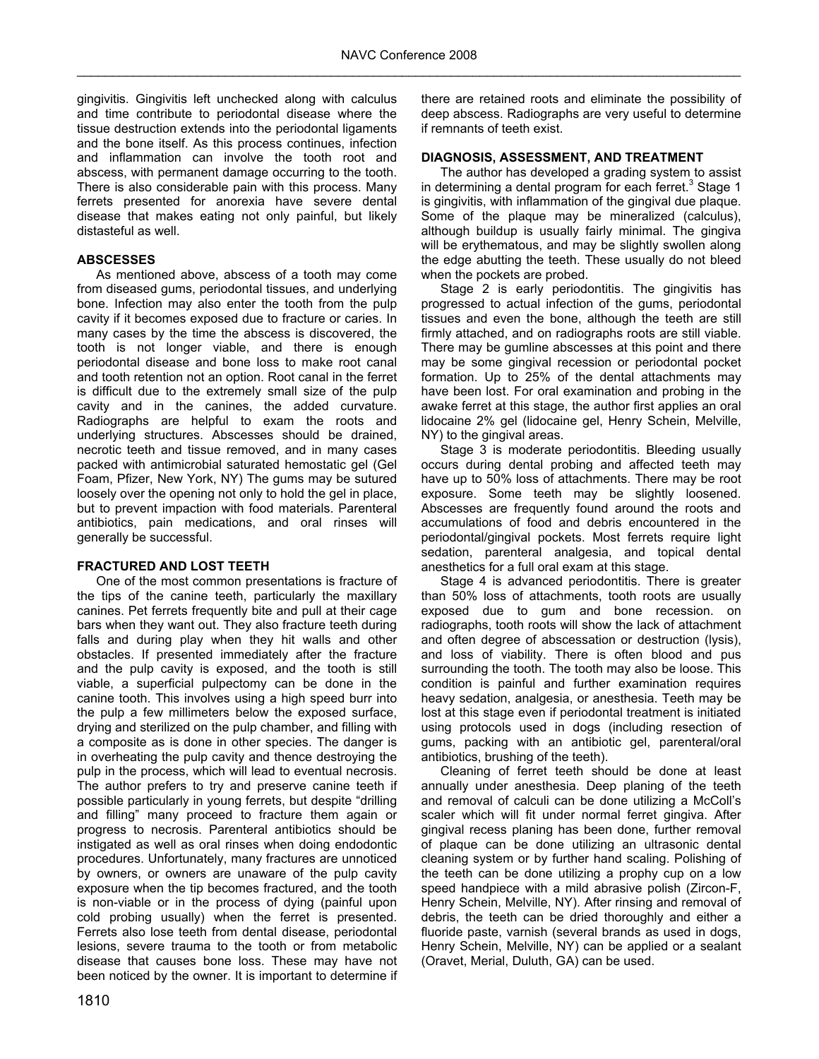gingivitis. Gingivitis left unchecked along with calculus and time contribute to periodontal disease where the tissue destruction extends into the periodontal ligaments and the bone itself. As this process continues, infection and inflammation can involve the tooth root and abscess, with permanent damage occurring to the tooth. There is also considerable pain with this process. Many ferrets presented for anorexia have severe dental disease that makes eating not only painful, but likely distasteful as well.

#### **ABSCESSES**

As mentioned above, abscess of a tooth may come from diseased gums, periodontal tissues, and underlying bone. Infection may also enter the tooth from the pulp cavity if it becomes exposed due to fracture or caries. In many cases by the time the abscess is discovered, the tooth is not longer viable, and there is enough periodontal disease and bone loss to make root canal and tooth retention not an option. Root canal in the ferret is difficult due to the extremely small size of the pulp cavity and in the canines, the added curvature. Radiographs are helpful to exam the roots and underlying structures. Abscesses should be drained, necrotic teeth and tissue removed, and in many cases packed with antimicrobial saturated hemostatic gel (Gel Foam, Pfizer, New York, NY) The gums may be sutured loosely over the opening not only to hold the gel in place, but to prevent impaction with food materials. Parenteral antibiotics, pain medications, and oral rinses will generally be successful.

## **FRACTURED AND LOST TEETH**

One of the most common presentations is fracture of the tips of the canine teeth, particularly the maxillary canines. Pet ferrets frequently bite and pull at their cage bars when they want out. They also fracture teeth during falls and during play when they hit walls and other obstacles. If presented immediately after the fracture and the pulp cavity is exposed, and the tooth is still viable, a superficial pulpectomy can be done in the canine tooth. This involves using a high speed burr into the pulp a few millimeters below the exposed surface, drying and sterilized on the pulp chamber, and filling with a composite as is done in other species. The danger is in overheating the pulp cavity and thence destroying the pulp in the process, which will lead to eventual necrosis. The author prefers to try and preserve canine teeth if possible particularly in young ferrets, but despite "drilling and filling" many proceed to fracture them again or progress to necrosis. Parenteral antibiotics should be instigated as well as oral rinses when doing endodontic procedures. Unfortunately, many fractures are unnoticed by owners, or owners are unaware of the pulp cavity exposure when the tip becomes fractured, and the tooth is non-viable or in the process of dying (painful upon cold probing usually) when the ferret is presented. Ferrets also lose teeth from dental disease, periodontal lesions, severe trauma to the tooth or from metabolic disease that causes bone loss. These may have not been noticed by the owner. It is important to determine if there are retained roots and eliminate the possibility of deep abscess. Radiographs are very useful to determine if remnants of teeth exist.

### **DIAGNOSIS, ASSESSMENT, AND TREATMENT**

The author has developed a grading system to assist in determining a dental program for each ferret. $3$  Stage 1 is gingivitis, with inflammation of the gingival due plaque. Some of the plaque may be mineralized (calculus), although buildup is usually fairly minimal. The gingiva will be erythematous, and may be slightly swollen along the edge abutting the teeth. These usually do not bleed when the pockets are probed.

Stage 2 is early periodontitis. The gingivitis has progressed to actual infection of the gums, periodontal tissues and even the bone, although the teeth are still firmly attached, and on radiographs roots are still viable. There may be gumline abscesses at this point and there may be some gingival recession or periodontal pocket formation. Up to 25% of the dental attachments may have been lost. For oral examination and probing in the awake ferret at this stage, the author first applies an oral lidocaine 2% gel (lidocaine gel, Henry Schein, Melville, NY) to the gingival areas.

Stage 3 is moderate periodontitis. Bleeding usually occurs during dental probing and affected teeth may have up to 50% loss of attachments. There may be root exposure. Some teeth may be slightly loosened. Abscesses are frequently found around the roots and accumulations of food and debris encountered in the periodontal/gingival pockets. Most ferrets require light sedation, parenteral analgesia, and topical dental anesthetics for a full oral exam at this stage.

Stage 4 is advanced periodontitis. There is greater than 50% loss of attachments, tooth roots are usually exposed due to gum and bone recession. on radiographs, tooth roots will show the lack of attachment and often degree of abscessation or destruction (lysis), and loss of viability. There is often blood and pus surrounding the tooth. The tooth may also be loose. This condition is painful and further examination requires heavy sedation, analgesia, or anesthesia. Teeth may be lost at this stage even if periodontal treatment is initiated using protocols used in dogs (including resection of gums, packing with an antibiotic gel, parenteral/oral antibiotics, brushing of the teeth).

Cleaning of ferret teeth should be done at least annually under anesthesia. Deep planing of the teeth and removal of calculi can be done utilizing a McColl's scaler which will fit under normal ferret gingiva. After gingival recess planing has been done, further removal of plaque can be done utilizing an ultrasonic dental cleaning system or by further hand scaling. Polishing of the teeth can be done utilizing a prophy cup on a low speed handpiece with a mild abrasive polish (Zircon-F, Henry Schein, Melville, NY). After rinsing and removal of debris, the teeth can be dried thoroughly and either a fluoride paste, varnish (several brands as used in dogs, Henry Schein, Melville, NY) can be applied or a sealant (Oravet, Merial, Duluth, GA) can be used.